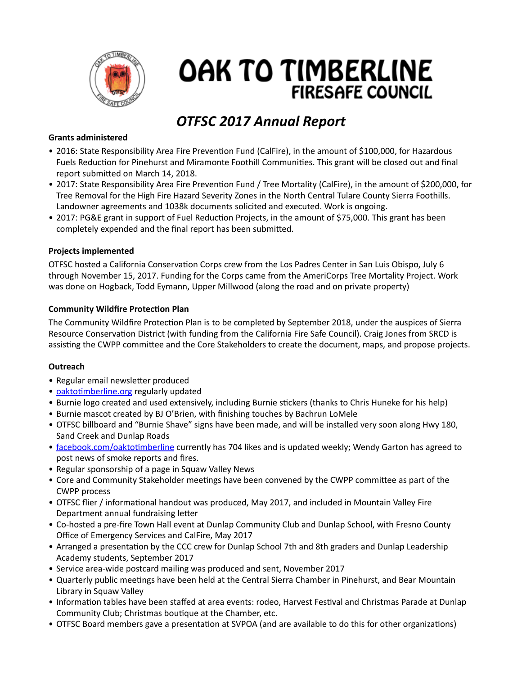

# OAK TO TIMBERLINE **FIRESAFE COUNCIL**

## *OTFSC 2017 Annual Report*

## **Grants administered**

- 2016: State Responsibility Area Fire Prevention Fund (CalFire), in the amount of \$100,000, for Hazardous Fuels Reduction for Pinehurst and Miramonte Foothill Communities. This grant will be closed out and final report submitted on March 14, 2018.
- 2017: State Responsibility Area Fire Prevention Fund / Tree Mortality (CalFire), in the amount of \$200,000, for Tree Removal for the High Fire Hazard Severity Zones in the North Central Tulare County Sierra Foothills. Landowner agreements and 1038k documents solicited and executed. Work is ongoing.
- 2017: PG&E grant in support of Fuel Reduction Projects, in the amount of \$75,000. This grant has been completely expended and the final report has been submitted.

## **Projects implemented**

OTFSC hosted a California Conservation Corps crew from the Los Padres Center in San Luis Obispo, July 6 through November 15, 2017. Funding for the Corps came from the AmeriCorps Tree Mortality Project. Work was done on Hogback, Todd Eymann, Upper Millwood (along the road and on private property)

## **Community Wildfire Protection Plan**

The Community Wildfire Protection Plan is to be completed by September 2018, under the auspices of Sierra Resource Conservation District (with funding from the California Fire Safe Council). Craig Jones from SRCD is assisting the CWPP committee and the Core Stakeholders to create the document, maps, and propose projects.

### **Outreach**

- Regular email newsletter produced
- oaktotimberline.org regularly updated
- Burnie logo created and used extensively, including Burnie stickers (thanks to Chris Huneke for his help)
- Burnie mascot created by BJ O'Brien, with finishing touches by Bachrun LoMele
- OTFSC billboard and "Burnie Shave" signs have been made, and will be installed very soon along Hwy 180, Sand Creek and Dunlap Roads
- facebook.com/oaktotimberline currently has 704 likes and is updated weekly; Wendy Garton has agreed to post news of smoke reports and fires.
- Regular sponsorship of a page in Squaw Valley News
- Core and Community Stakeholder meetings have been convened by the CWPP committee as part of the **CWPP** process
- OTFSC flier / informational handout was produced, May 2017, and included in Mountain Valley Fire Department annual fundraising letter
- Co-hosted a pre-fire Town Hall event at Dunlap Community Club and Dunlap School, with Fresno County Office of Emergency Services and CalFire, May 2017
- Arranged a presentation by the CCC crew for Dunlap School 7th and 8th graders and Dunlap Leadership Academy students, September 2017
- Service area-wide postcard mailing was produced and sent, November 2017
- Quarterly public meetings have been held at the Central Sierra Chamber in Pinehurst, and Bear Mountain Library in Squaw Valley
- Information tables have been staffed at area events: rodeo, Harvest Festival and Christmas Parade at Dunlap Community Club; Christmas boutique at the Chamber, etc.
- OTFSC Board members gave a presentation at SVPOA (and are available to do this for other organizations)